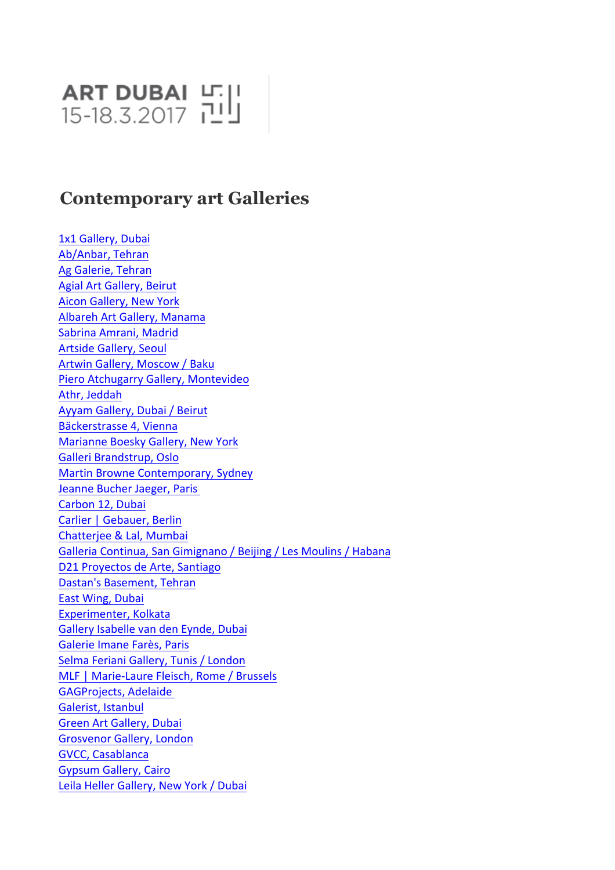## **ART DUBAI** 마<u>비</u>

## **Contemporary art Galleries**

1x1 Gallery, Dubai Ab/Anbar, Tehran Ag Galerie, Tehran Agial Art Gallery, Beirut **Aicon Gallery, New York** Albareh Art Gallery, Manama Sabrina Amrani, Madrid **Artside Gallery, Seoul** Artwin Gallery, Moscow / Baku Piero Atchugarry Gallery, Montevideo Athr, Jeddah Ayyam Gallery, Dubai / Beirut Bäckerstrasse 4. Vienna Marianne Boesky Gallery, New York Galleri Brandstrup, Oslo Martin Browne Contemporary, Sydney Jeanne Bucher Jaeger, Paris Carbon 12, Dubai Carlier | Gebauer, Berlin Chatterjee & Lal, Mumbai Galleria Continua, San Gimignano / Beijing / Les Moulins / Habana D21 Proyectos de Arte, Santiago Dastan's Basement, Tehran East Wing, Dubai Experimenter, Kolkata Gallery Isabelle van den Eynde, Dubai Galerie Imane Farès, Paris Selma Feriani Gallery, Tunis / London MLF | Marie-Laure Fleisch, Rome / Brussels GAGProjects, Adelaide Galerist, Istanbul Green Art Gallery, Dubai Grosvenor Gallery, London **GVCC, Casablanca** Gypsum Gallery, Cairo Leila Heller Gallery, New York / Dubai